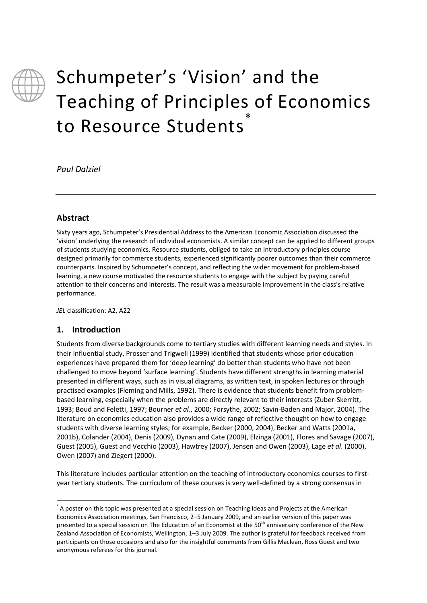

# Schumpeter's 'Vision' and the Teaching of Principles of Economics to Resource Students \*

*Paul Dalziel*

## **Abstract**

Sixty years ago, Schumpeter's Presidential Address to the American Economic Association discussed the 'vision' underlying the research of individual economists. A similar concept can be applied to different groups of students studying economics. Resource students, obliged to take an introductory principles course designed primarily for commerce students, experienced significantly poorer outcomes than their commerce counterparts. Inspired by Schumpeter's concept, and reflecting the wider movement for problem-based learning, a new course motivated the resource students to engage with the subject by paying careful attention to their concerns and interests. The result was a measurable improvement in the class's relative performance.

*JEL* classification: A2, A22

## **1. Introduction**

-

Students from diverse backgrounds come to tertiary studies with different learning needs and styles. In their influential study, Prosser and Trigwell (1999) identified that students whose prior education experiences have prepared them for 'deep learning' do better than students who have not been challenged to move beyond 'surface learning'. Students have different strengths in learning material presented in different ways, such as in visual diagrams, as written text, in spoken lectures or through practised examples (Fleming and Mills, 1992). There is evidence that students benefit from problembased learning, especially when the problems are directly relevant to their interests (Zuber-Skerritt, 1993; Boud and Feletti, 1997; Bourner *et al.*, 2000; Forsythe, 2002; Savin-Baden and Major, 2004). The literature on economics education also provides a wide range of reflective thought on how to engage students with diverse learning styles; for example, Becker (2000, 2004), Becker and Watts (2001a, 2001b), Colander (2004), Denis (2009), Dynan and Cate (2009), Elzinga (2001), Flores and Savage (2007), Guest (2005), Guest and Vecchio (2003), Hawtrey (2007), Jensen and Owen (2003), Lage *et al*. (2000), Owen (2007) and Ziegert (2000).

This literature includes particular attention on the teaching of introductory economics courses to firstyear tertiary students. The curriculum of these courses is very well-defined by a strong consensus in

<sup>\*</sup> A poster on this topic was presented at a special session on Teaching Ideas and Projects at the American Economics Association meetings, San Francisco, 2–5 January 2009, and an earlier version of this paper was presented to a special session on The Education of an Economist at the 50<sup>th</sup> anniversary conference of the New Zealand Association of Economists, Wellington, 1–3 July 2009. The author is grateful for feedback received from participants on those occasions and also for the insightful comments from Gillis Maclean, Ross Guest and two anonymous referees for this journal.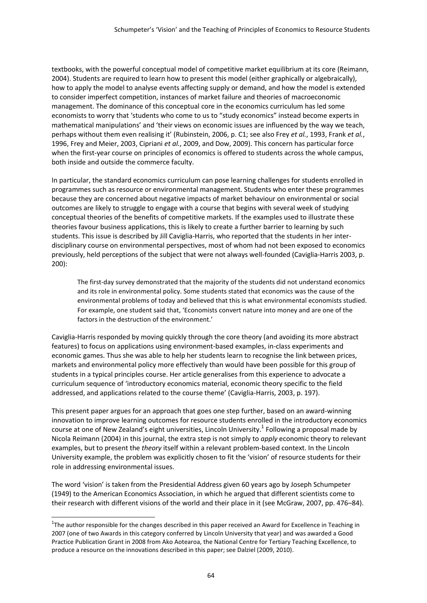textbooks, with the powerful conceptual model of competitive market equilibrium at its core (Reimann, 2004). Students are required to learn how to present this model (either graphically or algebraically), how to apply the model to analyse events affecting supply or demand, and how the model is extended to consider imperfect competition, instances of market failure and theories of macroeconomic management. The dominance of this conceptual core in the economics curriculum has led some economists to worry that 'students who come to us to "study economics" instead become experts in mathematical manipulations' and 'their views on economic issues are influenced by the way we teach, perhaps without them even realising it' (Rubinstein, 2006, p. C1; see also Frey *et al.*, 1993, Frank *et al.*, 1996, Frey and Meier, 2003, Cipriani *et al.*, 2009, and Dow, 2009). This concern has particular force when the first-year course on principles of economics is offered to students across the whole campus, both inside and outside the commerce faculty.

In particular, the standard economics curriculum can pose learning challenges for students enrolled in programmes such as resource or environmental management. Students who enter these programmes because they are concerned about negative impacts of market behaviour on environmental or social outcomes are likely to struggle to engage with a course that begins with several week of studying conceptual theories of the benefits of competitive markets. If the examples used to illustrate these theories favour business applications, this is likely to create a further barrier to learning by such students. This issue is described by Jill Caviglia-Harris, who reported that the students in her interdisciplinary course on environmental perspectives, most of whom had not been exposed to economics previously, held perceptions of the subject that were not always well-founded (Caviglia-Harris 2003, p. 200):

The first-day survey demonstrated that the majority of the students did not understand economics and its role in environmental policy. Some students stated that economics was the cause of the environmental problems of today and believed that this is what environmental economists studied. For example, one student said that, 'Economists convert nature into money and are one of the factors in the destruction of the environment.'

Caviglia-Harris responded by moving quickly through the core theory (and avoiding its more abstract features) to focus on applications using environment-based examples, in-class experiments and economic games. Thus she was able to help her students learn to recognise the link between prices, markets and environmental policy more effectively than would have been possible for this group of students in a typical principles course. Her article generalises from this experience to advocate a curriculum sequence of 'introductory economics material, economic theory specific to the field addressed, and applications related to the course theme' (Caviglia-Harris, 2003, p. 197).

This present paper argues for an approach that goes one step further, based on an award-winning innovation to improve learning outcomes for resource students enrolled in the introductory economics course at one of New Zealand's eight universities, Lincoln University.<sup>1</sup> Following a proposal made by Nicola Reimann (2004) in this journal, the extra step is not simply to *apply* economic theory to relevant examples, but to present the *theory* itself within a relevant problem-based context. In the Lincoln University example, the problem was explicitly chosen to fit the 'vision' of resource students for their role in addressing environmental issues.

The word 'vision' is taken from the Presidential Address given 60 years ago by Joseph Schumpeter (1949) to the American Economics Association, in which he argued that different scientists come to their research with different visions of the world and their place in it (see McGraw, 2007, pp. 476–84).

-

<sup>&</sup>lt;sup>1</sup>The author responsible for the changes described in this paper received an Award for Excellence in Teaching in 2007 (one of two Awards in this category conferred by Lincoln University that year) and was awarded a Good Practice Publication Grant in 2008 from Ako Aotearoa, the National Centre for Tertiary Teaching Excellence, to produce a resource on the innovations described in this paper; see Dalziel (2009, 2010).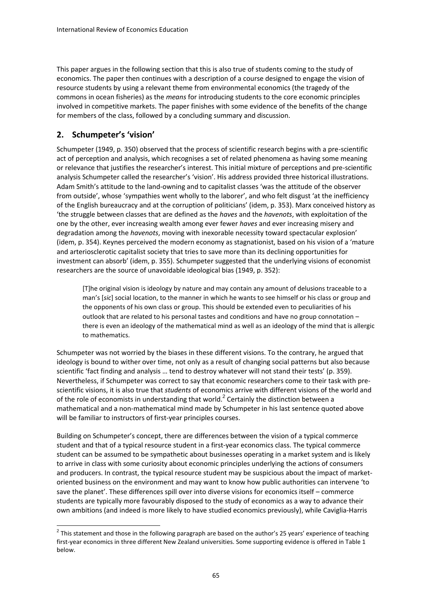This paper argues in the following section that this is also true of students coming to the study of economics. The paper then continues with a description of a course designed to engage the vision of resource students by using a relevant theme from environmental economics (the tragedy of the commons in ocean fisheries) as the *means* for introducing students to the core economic principles involved in competitive markets. The paper finishes with some evidence of the benefits of the change for members of the class, followed by a concluding summary and discussion.

# **2. Schumpeter's 'vision'**

-

Schumpeter (1949, p. 350) observed that the process of scientific research begins with a pre-scientific act of perception and analysis, which recognises a set of related phenomena as having some meaning or relevance that justifies the researcher's interest. This initial mixture of perceptions and pre-scientific analysis Schumpeter called the researcher's 'vision'. His address provided three historical illustrations. Adam Smith's attitude to the land-owning and to capitalist classes 'was the attitude of the observer from outside', whose 'sympathies went wholly to the laborer', and who felt disgust 'at the inefficiency of the English bureaucracy and at the corruption of politicians' (idem, p. 353). Marx conceived history as 'the struggle between classes that are defined as the *haves* and the *havenots*, with exploitation of the one by the other, ever increasing wealth among ever fewer *haves* and ever increasing misery and degradation among the *havenots*, moving with inexorable necessity toward spectacular explosion' (idem, p. 354). Keynes perceived the modern economy as stagnationist, based on his vision of a 'mature and arteriosclerotic capitalist society that tries to save more than its declining opportunities for investment can absorb' (idem, p. 355). Schumpeter suggested that the underlying visions of economist researchers are the source of unavoidable ideological bias (1949, p. 352):

[T]he original vision is ideology by nature and may contain any amount of delusions traceable to a man's [sic] social location, to the manner in which he wants to see himself or his class or group and the opponents of his own class or group. This should be extended even to peculiarities of his outlook that are related to his personal tastes and conditions and have no group connotation – there is even an ideology of the mathematical mind as well as an ideology of the mind that is allergic to mathematics.

Schumpeter was not worried by the biases in these different visions. To the contrary, he argued that ideology is bound to wither over time, not only as a result of changing social patterns but also because scientific 'fact finding and analysis … tend to destroy whatever will not stand their tests' (p. 359). Nevertheless, if Schumpeter was correct to say that economic researchers come to their task with prescientific visions, it is also true that *students* of economics arrive with different visions of the world and of the role of economists in understanding that world. $^2$  Certainly the distinction between a mathematical and a non-mathematical mind made by Schumpeter in his last sentence quoted above will be familiar to instructors of first-year principles courses.

Building on Schumpeter's concept, there are differences between the vision of a typical commerce student and that of a typical resource student in a first-year economics class. The typical commerce student can be assumed to be sympathetic about businesses operating in a market system and is likely to arrive in class with some curiosity about economic principles underlying the actions of consumers and producers. In contrast, the typical resource student may be suspicious about the impact of marketoriented business on the environment and may want to know how public authorities can intervene 'to save the planet'. These differences spill over into diverse visions for economics itself – commerce students are typically more favourably disposed to the study of economics as a way to advance their own ambitions (and indeed is more likely to have studied economics previously), while Caviglia-Harris

 $^2$  This statement and those in the following paragraph are based on the author's 25 years' experience of teaching first-year economics in three different New Zealand universities. Some supporting evidence is offered in Table 1 below.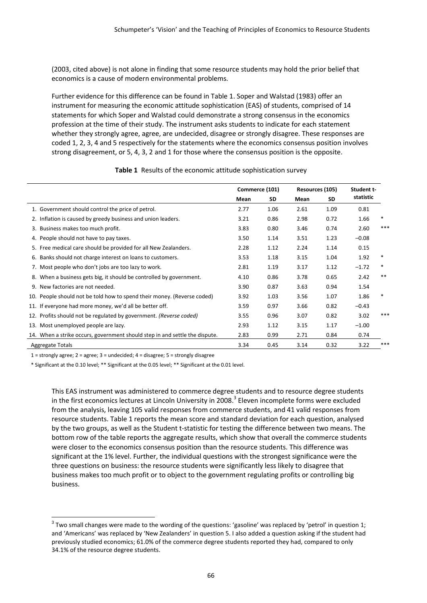(2003, cited above) is not alone in finding that some resource students may hold the prior belief that economics is a cause of modern environmental problems.

Further evidence for this difference can be found in Table 1. Soper and Walstad (1983) offer an instrument for measuring the economic attitude sophistication (EAS) of students, comprised of 14 statements for which Soper and Walstad could demonstrate a strong consensus in the economics profession at the time of their study. The instrument asks students to indicate for each statement whether they strongly agree, agree, are undecided, disagree or strongly disagree. These responses are coded 1, 2, 3, 4 and 5 respectively for the statements where the economics consensus position involves strong disagreement, or 5, 4, 3, 2 and 1 for those where the consensus position is the opposite.

|                                                                             |      | Commerce (101) | Resources (105) |      | Student t- |        |
|-----------------------------------------------------------------------------|------|----------------|-----------------|------|------------|--------|
|                                                                             | Mean | SD             | Mean            | SD   | statistic  |        |
| 1. Government should control the price of petrol.                           | 2.77 | 1.06           | 2.61            | 1.09 | 0.81       |        |
| 2. Inflation is caused by greedy business and union leaders.                | 3.21 | 0.86           | 2.98            | 0.72 | 1.66       | $\ast$ |
| 3. Business makes too much profit.                                          | 3.83 | 0.80           | 3.46            | 0.74 | 2.60       | $***$  |
| 4. People should not have to pay taxes.                                     | 3.50 | 1.14           | 3.51            | 1.23 | $-0.08$    |        |
| 5. Free medical care should be provided for all New Zealanders.             | 2.28 | 1.12           | 2.24            | 1.14 | 0.15       |        |
| 6. Banks should not charge interest on loans to customers.                  | 3.53 | 1.18           | 3.15            | 1.04 | 1.92       | *      |
| 7. Most people who don't jobs are too lazy to work.                         | 2.81 | 1.19           | 3.17            | 1.12 | $-1.72$    | *      |
| 8. When a business gets big, it should be controlled by government.         | 4.10 | 0.86           | 3.78            | 0.65 | 2.42       | $***$  |
| 9. New factories are not needed.                                            | 3.90 | 0.87           | 3.63            | 0.94 | 1.54       |        |
| 10. People should not be told how to spend their money. (Reverse coded)     | 3.92 | 1.03           | 3.56            | 1.07 | 1.86       | $\ast$ |
| 11. If everyone had more money, we'd all be better off.                     | 3.59 | 0.97           | 3.66            | 0.82 | $-0.43$    |        |
| 12. Profits should not be regulated by government. (Reverse coded)          | 3.55 | 0.96           | 3.07            | 0.82 | 3.02       | $***$  |
| 13. Most unemployed people are lazy.                                        | 2.93 | 1.12           | 3.15            | 1.17 | $-1.00$    |        |
| 14. When a strike occurs, government should step in and settle the dispute. | 2.83 | 0.99           | 2.71            | 0.84 | 0.74       |        |
| Aggregate Totals                                                            | 3.34 | 0.45           | 3.14            | 0.32 | 3.22       | $***$  |

#### **Table 1** Results of the economic attitude sophistication survey

1 = strongly agree;  $2$  = agree;  $3$  = undecided;  $4$  = disagree;  $5$  = strongly disagree

\* Significant at the 0.10 level; \*\* Significant at the 0.05 level; \*\* Significant at the 0.01 level.

This EAS instrument was administered to commerce degree students and to resource degree students in the first economics lectures at Lincoln University in 2008.<sup>3</sup> Eleven incomplete forms were excluded from the analysis, leaving 105 valid responses from commerce students, and 41 valid responses from resource students. Table 1 reports the mean score and standard deviation for each question, analysed by the two groups, as well as the Student t-statistic for testing the difference between two means. The bottom row of the table reports the aggregate results, which show that overall the commerce students were closer to the economics consensus position than the resource students. This difference was significant at the 1% level. Further, the individual questions with the strongest significance were the three questions on business: the resource students were significantly less likely to disagree that business makes too much profit or to object to the government regulating profits or controlling big business.

 3 Two small changes were made to the wording of the questions: 'gasoline' was replaced by 'petrol' in question 1; and 'Americans' was replaced by 'New Zealanders' in question 5. I also added a question asking if the student had previously studied economics; 61.0% of the commerce degree students reported they had, compared to only 34.1% of the resource degree students.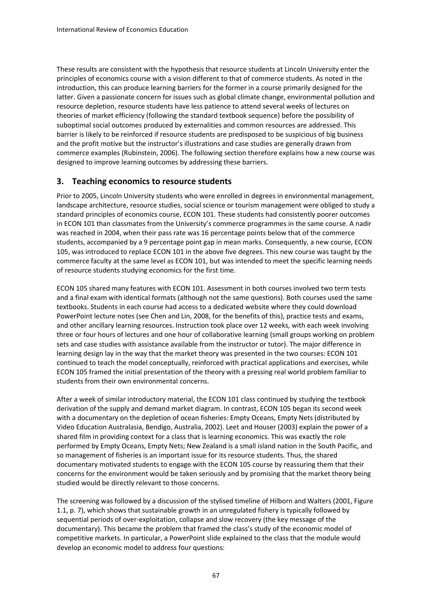These results are consistent with the hypothesis that resource students at Lincoln University enter the principles of economics course with a vision different to that of commerce students. As noted in the introduction, this can produce learning barriers for the former in a course primarily designed for the latter. Given a passionate concern for issues such as global climate change, environmental pollution and resource depletion, resource students have less patience to attend several weeks of lectures on theories of market efficiency (following the standard textbook sequence) before the possibility of suboptimal social outcomes produced by externalities and common resources are addressed. This barrier is likely to be reinforced if resource students are predisposed to be suspicious of big business and the profit motive but the instructor's illustrations and case studies are generally drawn from commerce examples (Rubinstein, 2006). The following section therefore explains how a new course was designed to improve learning outcomes by addressing these barriers.

## **3. Teaching economics to resource students**

Prior to 2005, Lincoln University students who were enrolled in degrees in environmental management, landscape architecture, resource studies, social science or tourism management were obliged to study a standard principles of economics course, ECON 101. These students had consistently poorer outcomes in ECON 101 than classmates from the University's commerce programmes in the same course. A nadir was reached in 2004, when their pass rate was 16 percentage points below that of the commerce students, accompanied by a 9 percentage point gap in mean marks. Consequently, a new course, ECON 105, was introduced to replace ECON 101 in the above five degrees. This new course was taught by the commerce faculty at the same level as ECON 101, but was intended to meet the specific learning needs of resource students studying economics for the first time.

ECON 105 shared many features with ECON 101. Assessment in both courses involved two term tests and a final exam with identical formats (although not the same questions). Both courses used the same textbooks. Students in each course had access to a dedicated website where they could download PowerPoint lecture notes (see Chen and Lin, 2008, for the benefits of this), practice tests and exams, and other ancillary learning resources. Instruction took place over 12 weeks, with each week involving three or four hours of lectures and one hour of collaborative learning (small groups working on problem sets and case studies with assistance available from the instructor or tutor). The major difference in learning design lay in the way that the market theory was presented in the two courses: ECON 101 continued to teach the model conceptually, reinforced with practical applications and exercises, while ECON 105 framed the initial presentation of the theory with a pressing real world problem familiar to students from their own environmental concerns.

After a week of similar introductory material, the ECON 101 class continued by studying the textbook derivation of the supply and demand market diagram. In contrast, ECON 105 began its second week with a documentary on the depletion of ocean fisheries: Empty Oceans, Empty Nets (distributed by Video Education Australasia, Bendigo, Australia, 2002). Leet and Houser (2003) explain the power of a shared film in providing context for a class that is learning economics. This was exactly the role performed by Empty Oceans, Empty Nets; New Zealand is a small island nation in the South Pacific, and so management of fisheries is an important issue for its resource students. Thus, the shared documentary motivated students to engage with the ECON 105 course by reassuring them that their concerns for the environment would be taken seriously and by promising that the market theory being studied would be directly relevant to those concerns.

The screening was followed by a discussion of the stylised timeline of Hilborn and Walters (2001, Figure 1.1, p. 7), which shows that sustainable growth in an unregulated fishery is typically followed by sequential periods of over-exploitation, collapse and slow recovery (the key message of the documentary). This became the problem that framed the class's study of the economic model of competitive markets. In particular, a PowerPoint slide explained to the class that the module would develop an economic model to address four questions: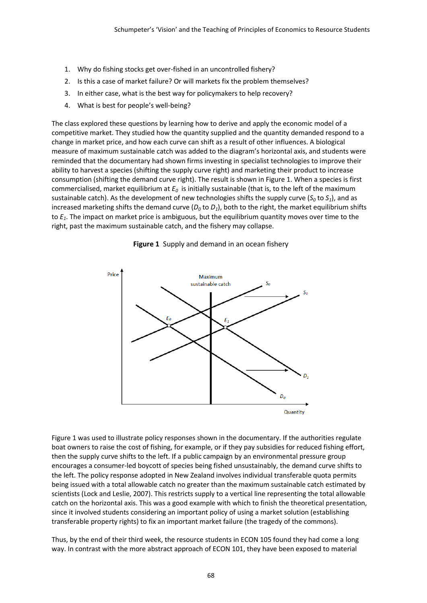- 1. Why do fishing stocks get over-fished in an uncontrolled fishery?
- 2. Is this a case of market failure? Or will markets fix the problem themselves?
- 3. In either case, what is the best way for policymakers to help recovery?
- 4. What is best for people's well-being?

The class explored these questions by learning how to derive and apply the economic model of a competitive market. They studied how the quantity supplied and the quantity demanded respond to a change in market price, and how each curve can shift as a result of other influences. A biological measure of maximum sustainable catch was added to the diagram's horizontal axis, and students were reminded that the documentary had shown firms investing in specialist technologies to improve their ability to harvest a species (shifting the supply curve right) and marketing their product to increase consumption (shifting the demand curve right). The result is shown in Figure 1. When a species is first commercialised, market equilibrium at  $E_0$  is initially sustainable (that is, to the left of the maximum sustainable catch). As the development of new technologies shifts the supply curve (*S<sup>0</sup>* to *S1*), and as increased marketing shifts the demand curve ( $D_0$  to  $D_1$ ), both to the right, the market equilibrium shifts to *E1*. The impact on market price is ambiguous, but the equilibrium quantity moves over time to the right, past the maximum sustainable catch, and the fishery may collapse.





Figure 1 was used to illustrate policy responses shown in the documentary. If the authorities regulate boat owners to raise the cost of fishing, for example, or if they pay subsidies for reduced fishing effort, then the supply curve shifts to the left. If a public campaign by an environmental pressure group encourages a consumer-led boycott of species being fished unsustainably, the demand curve shifts to the left. The policy response adopted in New Zealand involves individual transferable quota permits being issued with a total allowable catch no greater than the maximum sustainable catch estimated by scientists (Lock and Leslie, 2007). This restricts supply to a vertical line representing the total allowable catch on the horizontal axis. This was a good example with which to finish the theoretical presentation, since it involved students considering an important policy of using a market solution (establishing transferable property rights) to fix an important market failure (the tragedy of the commons).

Thus, by the end of their third week, the resource students in ECON 105 found they had come a long way. In contrast with the more abstract approach of ECON 101, they have been exposed to material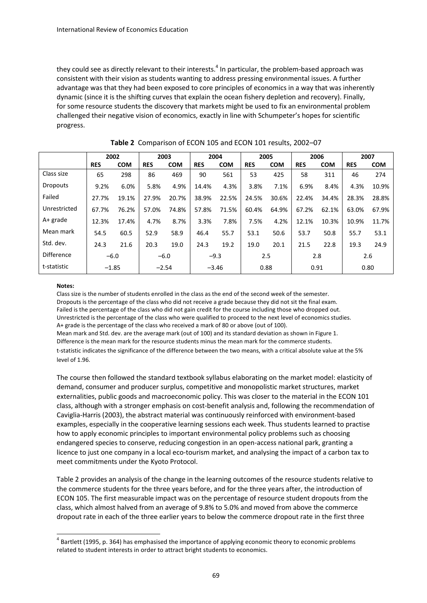they could see as directly relevant to their interests.<sup>4</sup> In particular, the problem-based approach was consistent with their vision as students wanting to address pressing environmental issues. A further advantage was that they had been exposed to core principles of economics in a way that was inherently dynamic (since it is the shifting curves that explain the ocean fishery depletion and recovery). Finally, for some resource students the discovery that markets might be used to fix an environmental problem challenged their negative vision of economics, exactly in line with Schumpeter's hopes for scientific progress.

|                 | 2002       |            | 2003       |            | 2004       |            | 2005       |            | 2006       |            | 2007       |            |
|-----------------|------------|------------|------------|------------|------------|------------|------------|------------|------------|------------|------------|------------|
|                 | <b>RES</b> | <b>COM</b> | <b>RES</b> | <b>COM</b> | <b>RES</b> | <b>COM</b> | <b>RES</b> | <b>COM</b> | <b>RES</b> | <b>COM</b> | <b>RES</b> | <b>COM</b> |
| Class size      | 65         | 298        | 86         | 469        | 90         | 561        | 53         | 425        | 58         | 311        | 46         | 274        |
| <b>Dropouts</b> | 9.2%       | 6.0%       | 5.8%       | 4.9%       | 14.4%      | 4.3%       | 3.8%       | 7.1%       | 6.9%       | 8.4%       | 4.3%       | 10.9%      |
| Failed          | 27.7%      | 19.1%      | 27.9%      | 20.7%      | 38.9%      | 22.5%      | 24.5%      | 30.6%      | 22.4%      | 34.4%      | 28.3%      | 28.8%      |
| Unrestricted    | 67.7%      | 76.2%      | 57.0%      | 74.8%      | 57.8%      | 71.5%      | 60.4%      | 64.9%      | 67.2%      | 62.1%      | 63.0%      | 67.9%      |
| A+ grade        | 12.3%      | 17.4%      | 4.7%       | 8.7%       | 3.3%       | 7.8%       | 7.5%       | 4.2%       | 12.1%      | 10.3%      | 10.9%      | 11.7%      |
| Mean mark       | 54.5       | 60.5       | 52.9       | 58.9       | 46.4       | 55.7       | 53.1       | 50.6       | 53.7       | 50.8       | 55.7       | 53.1       |
| Std. dev.       | 24.3       | 21.6       | 20.3       | 19.0       | 24.3       | 19.2       | 19.0       | 20.1       | 21.5       | 22.8       | 19.3       | 24.9       |
| Difference      | $-6.0$     |            | $-6.0$     |            | $-9.3$     |            |            | 2.5        |            | 2.8        |            | 2.6        |
| t-statistic     | $-1.85$    |            | $-2.54$    |            |            | $-3.46$    |            | 0.88       | 0.91       |            |            | 0.80       |

#### **Table 2** Comparison of ECON 105 and ECON 101 results, 2002–07

#### **Notes:**

-

Class size is the number of students enrolled in the class as the end of the second week of the semester. Dropouts is the percentage of the class who did not receive a grade because they did not sit the final exam. Failed is the percentage of the class who did not gain credit for the course including those who dropped out. Unrestricted is the percentage of the class who were qualified to proceed to the next level of economics studies. A+ grade is the percentage of the class who received a mark of 80 or above (out of 100). Mean mark and Std. dev. are the average mark (out of 100) and its standard deviation as shown in Figure 1. Difference is the mean mark for the resource students minus the mean mark for the commerce students. t-statistic indicates the significance of the difference between the two means, with a critical absolute value at the 5% level of 1.96.

The course then followed the standard textbook syllabus elaborating on the market model: elasticity of demand, consumer and producer surplus, competitive and monopolistic market structures, market externalities, public goods and macroeconomic policy. This was closer to the material in the ECON 101 class, although with a stronger emphasis on cost-benefit analysis and, following the recommendation of Caviglia-Harris (2003), the abstract material was continuously reinforced with environment-based examples, especially in the cooperative learning sessions each week. Thus students learned to practise how to apply economic principles to important environmental policy problems such as choosing endangered species to conserve, reducing congestion in an open-access national park, granting a licence to just one company in a local eco-tourism market, and analysing the impact of a carbon tax to meet commitments under the Kyoto Protocol.

Table 2 provides an analysis of the change in the learning outcomes of the resource students relative to the commerce students for the three years before, and for the three years after, the introduction of ECON 105. The first measurable impact was on the percentage of resource student dropouts from the class, which almost halved from an average of 9.8% to 5.0% and moved from above the commerce dropout rate in each of the three earlier years to below the commerce dropout rate in the first three

<sup>&</sup>lt;sup>4</sup> Bartlett (1995, p. 364) has emphasised the importance of applying economic theory to economic problems related to student interests in order to attract bright students to economics.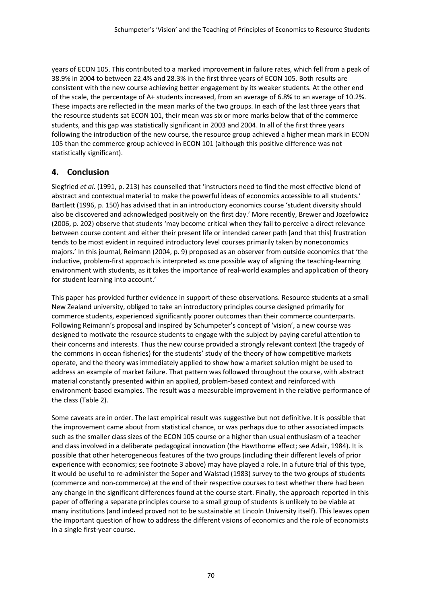years of ECON 105. This contributed to a marked improvement in failure rates, which fell from a peak of 38.9% in 2004 to between 22.4% and 28.3% in the first three years of ECON 105. Both results are consistent with the new course achieving better engagement by its weaker students. At the other end of the scale, the percentage of A+ students increased, from an average of 6.8% to an average of 10.2%. These impacts are reflected in the mean marks of the two groups. In each of the last three years that the resource students sat ECON 101, their mean was six or more marks below that of the commerce students, and this gap was statistically significant in 2003 and 2004. In all of the first three years following the introduction of the new course, the resource group achieved a higher mean mark in ECON 105 than the commerce group achieved in ECON 101 (although this positive difference was not statistically significant).

# **4. Conclusion**

Siegfried *et al*. (1991, p. 213) has counselled that 'instructors need to find the most effective blend of abstract and contextual material to make the powerful ideas of economics accessible to all students.' Bartlett (1996, p. 150) has advised that in an introductory economics course 'student diversity should also be discovered and acknowledged positively on the first day.' More recently, Brewer and Jozefowicz (2006, p. 202) observe that students 'may become critical when they fail to perceive a direct relevance between course content and either their present life or intended career path [and that this] frustration tends to be most evident in required introductory level courses primarily taken by noneconomics majors.' In this journal, Reimann (2004, p. 9) proposed as an observer from outside economics that 'the inductive, problem-first approach is interpreted as one possible way of aligning the teaching-learning environment with students, as it takes the importance of real-world examples and application of theory for student learning into account.'

This paper has provided further evidence in support of these observations. Resource students at a small New Zealand university, obliged to take an introductory principles course designed primarily for commerce students, experienced significantly poorer outcomes than their commerce counterparts. Following Reimann's proposal and inspired by Schumpeter's concept of 'vision', a new course was designed to motivate the resource students to engage with the subject by paying careful attention to their concerns and interests. Thus the new course provided a strongly relevant context (the tragedy of the commons in ocean fisheries) for the students' study of the theory of how competitive markets operate, and the theory was immediately applied to show how a market solution might be used to address an example of market failure. That pattern was followed throughout the course, with abstract material constantly presented within an applied, problem-based context and reinforced with environment-based examples. The result was a measurable improvement in the relative performance of the class (Table 2).

Some caveats are in order. The last empirical result was suggestive but not definitive. It is possible that the improvement came about from statistical chance, or was perhaps due to other associated impacts such as the smaller class sizes of the ECON 105 course or a higher than usual enthusiasm of a teacher and class involved in a deliberate pedagogical innovation (the Hawthorne effect; see Adair, 1984). It is possible that other heterogeneous features of the two groups (including their different levels of prior experience with economics; see footnote 3 above) may have played a role. In a future trial of this type, it would be useful to re-administer the Soper and Walstad (1983) survey to the two groups of students (commerce and non-commerce) at the end of their respective courses to test whether there had been any change in the significant differences found at the course start. Finally, the approach reported in this paper of offering a separate principles course to a small group of students is unlikely to be viable at many institutions (and indeed proved not to be sustainable at Lincoln University itself). This leaves open the important question of how to address the different visions of economics and the role of economists in a single first-year course.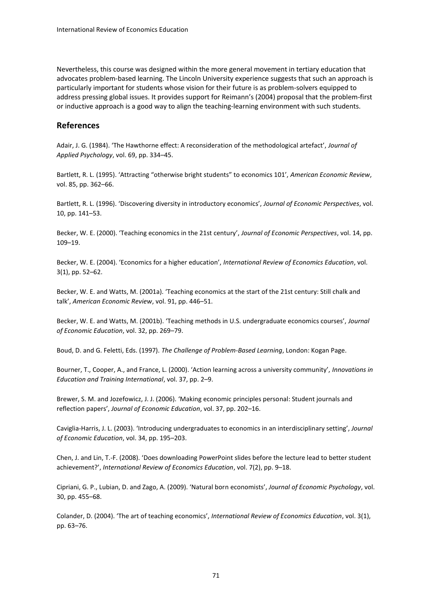Nevertheless, this course was designed within the more general movement in tertiary education that advocates problem-based learning. The Lincoln University experience suggests that such an approach is particularly important for students whose vision for their future is as problem-solvers equipped to address pressing global issues. It provides support for Reimann's (2004) proposal that the problem-first or inductive approach is a good way to align the teaching-learning environment with such students.

#### **References**

Adair, J. G. (1984). 'The Hawthorne effect: A reconsideration of the methodological artefact', *Journal of Applied Psychology*, vol. 69, pp. 334–45.

Bartlett, R. L. (1995). 'Attracting "otherwise bright students" to economics 101', *American Economic Review*, vol. 85, pp. 362–66.

Bartlett, R. L. (1996). 'Discovering diversity in introductory economics', *Journal of Economic Perspectives*, vol. 10, pp. 141–53.

Becker, W. E. (2000). 'Teaching economics in the 21st century', *Journal of Economic Perspectives*, vol. 14, pp. 109–19.

Becker, W. E. (2004). 'Economics for a higher education', *International Review of Economics Education*, vol. 3(1), pp. 52–62.

Becker, W. E. and Watts, M. (2001a). 'Teaching economics at the start of the 21st century: Still chalk and talk', *American Economic Review*, vol. 91, pp. 446–51.

Becker, W. E. and Watts, M. (2001b). 'Teaching methods in U.S. undergraduate economics courses', *Journal of Economic Education*, vol. 32, pp. 269–79.

Boud, D. and G. Feletti, Eds. (1997). *The Challenge of Problem-Based Learning*, London: Kogan Page.

Bourner, T., Cooper, A., and France, L. (2000). 'Action learning across a university community', *Innovations in Education and Training International*, vol. 37, pp. 2–9.

Brewer, S. M. and Jozefowicz, J. J. (2006). 'Making economic principles personal: Student journals and reflection papers', *Journal of Economic Education*, vol. 37, pp. 202–16.

Caviglia-Harris, J. L. (2003). 'Introducing undergraduates to economics in an interdisciplinary setting', *Journal of Economic Education*, vol. 34, pp. 195–203.

Chen, J. and Lin, T.-F. (2008). 'Does downloading PowerPoint slides before the lecture lead to better student achievement?', *International Review of Economics Education*, vol. 7(2), pp. 9–18.

Cipriani, G. P., Lubian, D. and Zago, A. (2009). 'Natural born economists', *Journal of Economic Psychology*, vol. 30, pp. 455–68.

Colander, D. (2004). 'The art of teaching economics', *International Review of Economics Education*, vol. 3(1), pp. 63–76.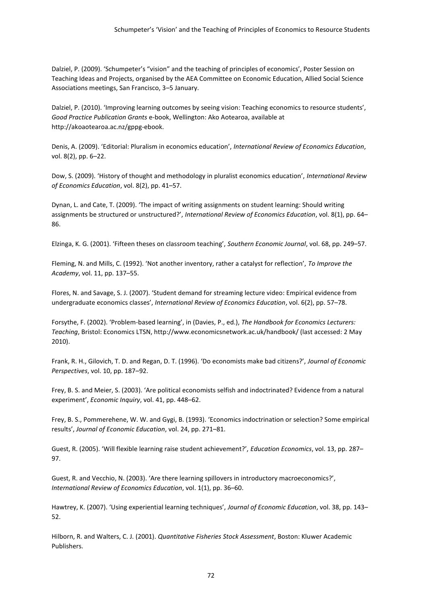Dalziel, P. (2009). 'Schumpeter's "vision" and the teaching of principles of economics', Poster Session on Teaching Ideas and Projects, organised by the AEA Committee on Economic Education, Allied Social Science Associations meetings, San Francisco, 3–5 January.

Dalziel, P. (2010). 'Improving learning outcomes by seeing vision: Teaching economics to resource students', *Good Practice Publication Grants* e-book, Wellington: Ako Aotearoa, available at http://akoaotearoa.ac.nz/gppg-ebook.

Denis, A. (2009). 'Editorial: Pluralism in economics education', *International Review of Economics Education*, vol. 8(2), pp. 6–22.

Dow, S. (2009). 'History of thought and methodology in pluralist economics education', *International Review of Economics Education*, vol. 8(2), pp. 41–57.

Dynan, L. and Cate, T. (2009). 'The impact of writing assignments on student learning: Should writing assignments be structured or unstructured?', *International Review of Economics Education*, vol. 8(1), pp. 64– 86.

Elzinga, K. G. (2001). 'Fifteen theses on classroom teaching', *Southern Economic Journal*, vol. 68, pp. 249–57.

Fleming, N. and Mills, C. (1992). 'Not another inventory, rather a catalyst for reflection', *To Improve the Academy*, vol. 11, pp. 137–55.

Flores, N. and Savage, S. J. (2007). 'Student demand for streaming lecture video: Empirical evidence from undergraduate economics classes', *International Review of Economics Education*, vol. 6(2), pp. 57–78.

Forsythe, F. (2002). 'Problem-based learning', in (Davies, P., ed.), *The Handbook for Economics Lecturers: Teaching*, Bristol: Economics LTSN, http://www.economicsnetwork.ac.uk/handbook/ (last accessed: 2 May 2010).

Frank, R. H., Gilovich, T. D. and Regan, D. T. (1996). 'Do economists make bad citizens?', *Journal of Economic Perspectives*, vol. 10, pp. 187–92.

Frey, B. S. and Meier, S. (2003). 'Are political economists selfish and indoctrinated? Evidence from a natural experiment', *Economic Inquiry*, vol. 41, pp. 448–62.

Frey, B. S., Pommerehene, W. W. and Gygi, B. (1993). 'Economics indoctrination or selection? Some empirical results', *Journal of Economic Education*, vol. 24, pp. 271–81.

Guest, R. (2005). 'Will flexible learning raise student achievement?', *Education Economics*, vol. 13, pp. 287– 97.

Guest, R. and Vecchio, N. (2003). 'Are there learning spillovers in introductory macroeconomics?', *International Review of Economics Education*, vol. 1(1), pp. 36–60.

Hawtrey, K. (2007). 'Using experiential learning techniques', *Journal of Economic Education*, vol. 38, pp. 143– 52.

Hilborn, R. and Walters, C. J. (2001). *Quantitative Fisheries Stock Assessment*, Boston: Kluwer Academic Publishers.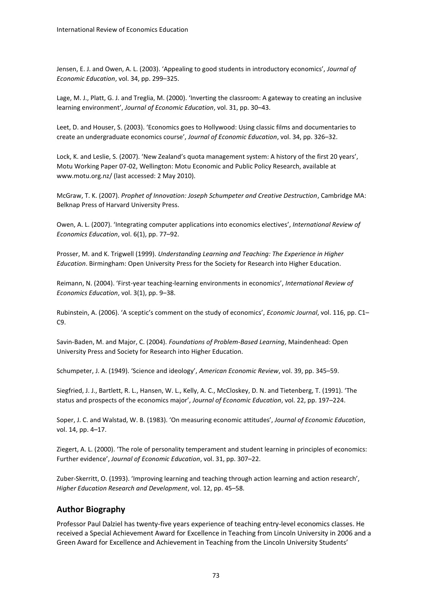Jensen, E. J. and Owen, A. L. (2003). 'Appealing to good students in introductory economics', *Journal of Economic Education*, vol. 34, pp. 299–325.

Lage, M. J., Platt, G. J. and Treglia, M. (2000). 'Inverting the classroom: A gateway to creating an inclusive learning environment', *Journal of Economic Education*, vol. 31, pp. 30–43.

Leet, D. and Houser, S. (2003). 'Economics goes to Hollywood: Using classic films and documentaries to create an undergraduate economics course', *Journal of Economic Education*, vol. 34, pp. 326–32.

Lock, K. and Leslie, S. (2007). 'New Zealand's quota management system: A history of the first 20 years', Motu Working Paper 07-02, Wellington: Motu Economic and Public Policy Research, available at www.motu.org.nz/ (last accessed: 2 May 2010).

McGraw, T. K. (2007). *Prophet of Innovation: Joseph Schumpeter and Creative Destruction*, Cambridge MA: Belknap Press of Harvard University Press.

Owen, A. L. (2007). 'Integrating computer applications into economics electives', *International Review of Economics Education*, vol. 6(1), pp. 77–92.

Prosser, M. and K. Trigwell (1999). *Understanding Learning and Teaching: The Experience in Higher Education*. Birmingham: Open University Press for the Society for Research into Higher Education.

Reimann, N. (2004). 'First-year teaching-learning environments in economics', *International Review of Economics Education*, vol. 3(1), pp. 9–38.

Rubinstein, A. (2006). 'A sceptic's comment on the study of economics', *Economic Journal*, vol. 116, pp. C1–  $C9.$ 

Savin-Baden, M. and Major, C. (2004). *Foundations of Problem-Based Learning*, Maindenhead: Open University Press and Society for Research into Higher Education.

Schumpeter, J. A. (1949). 'Science and ideology', *American Economic Review*, vol. 39, pp. 345–59.

Siegfried, J. J., Bartlett, R. L., Hansen, W. L., Kelly, A. C., McCloskey, D. N. and Tietenberg, T. (1991). 'The status and prospects of the economics major', *Journal of Economic Education*, vol. 22, pp. 197–224.

Soper, J. C. and Walstad, W. B. (1983). 'On measuring economic attitudes', *Journal of Economic Education*, vol. 14, pp. 4–17.

Ziegert, A. L. (2000). 'The role of personality temperament and student learning in principles of economics: Further evidence', *Journal of Economic Education*, vol. 31, pp. 307–22.

Zuber-Skerritt, O. (1993). 'Improving learning and teaching through action learning and action research', *Higher Education Research and Development*, vol. 12, pp. 45–58.

## **Author Biography**

Professor Paul Dalziel has twenty-five years experience of teaching entry-level economics classes. He received a Special Achievement Award for Excellence in Teaching from Lincoln University in 2006 and a Green Award for Excellence and Achievement in Teaching from the Lincoln University Students'